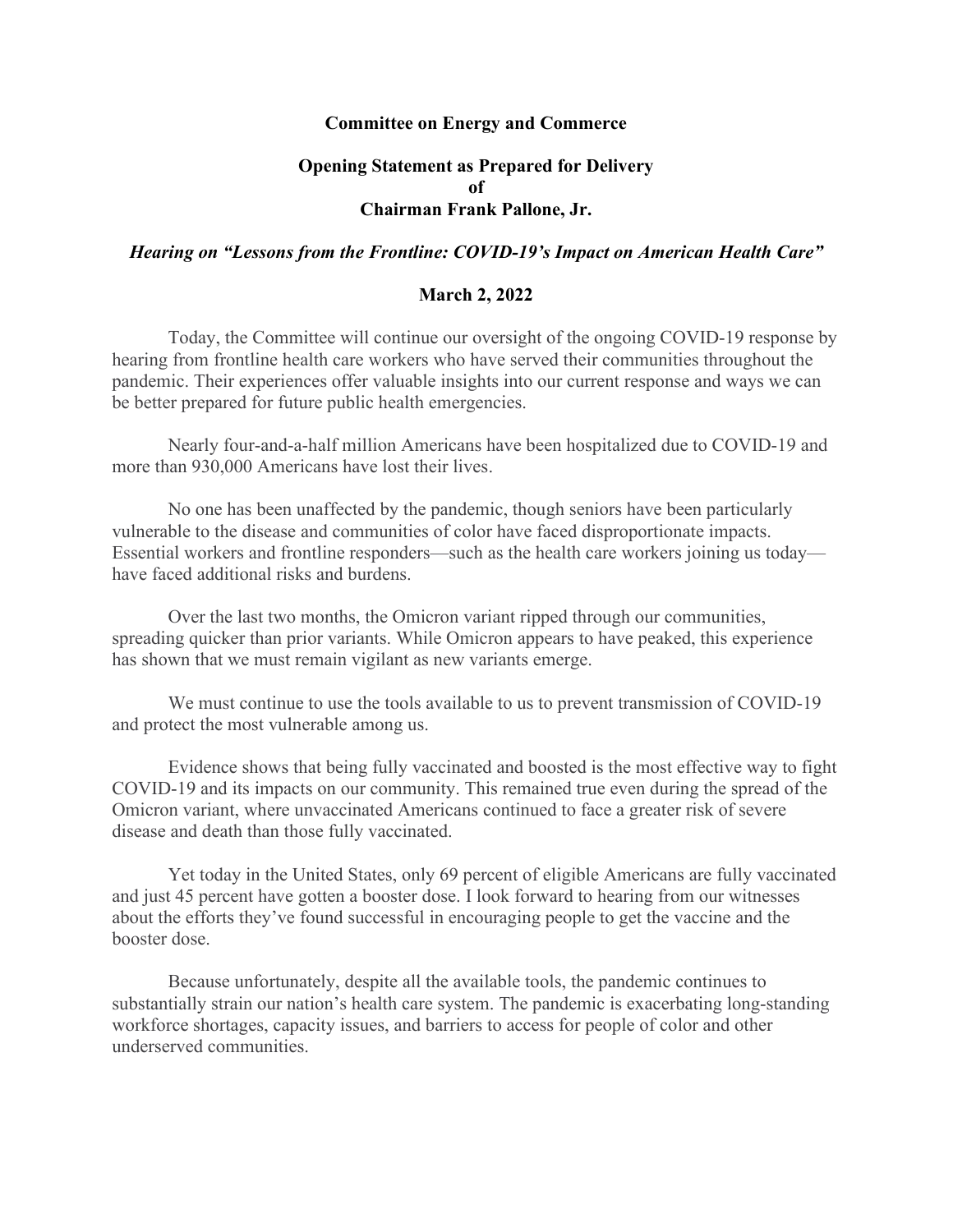### **Committee on Energy and Commerce**

## **Opening Statement as Prepared for Delivery of Chairman Frank Pallone, Jr.**

### *Hearing on "Lessons from the Frontline: COVID-19's Impact on American Health Care"*

### **March 2, 2022**

Today, the Committee will continue our oversight of the ongoing COVID-19 response by hearing from frontline health care workers who have served their communities throughout the pandemic. Their experiences offer valuable insights into our current response and ways we can be better prepared for future public health emergencies.

Nearly four-and-a-half million Americans have been hospitalized due to COVID-19 and more than 930,000 Americans have lost their lives.

No one has been unaffected by the pandemic, though seniors have been particularly vulnerable to the disease and communities of color have faced disproportionate impacts. Essential workers and frontline responders—such as the health care workers joining us today have faced additional risks and burdens.

Over the last two months, the Omicron variant ripped through our communities, spreading quicker than prior variants. While Omicron appears to have peaked, this experience has shown that we must remain vigilant as new variants emerge.

We must continue to use the tools available to us to prevent transmission of COVID-19 and protect the most vulnerable among us.

Evidence shows that being fully vaccinated and boosted is the most effective way to fight COVID-19 and its impacts on our community. This remained true even during the spread of the Omicron variant, where unvaccinated Americans continued to face a greater risk of severe disease and death than those fully vaccinated.

Yet today in the United States, only 69 percent of eligible Americans are fully vaccinated and just 45 percent have gotten a booster dose. I look forward to hearing from our witnesses about the efforts they've found successful in encouraging people to get the vaccine and the booster dose.

Because unfortunately, despite all the available tools, the pandemic continues to substantially strain our nation's health care system. The pandemic is exacerbating long-standing workforce shortages, capacity issues, and barriers to access for people of color and other underserved communities.